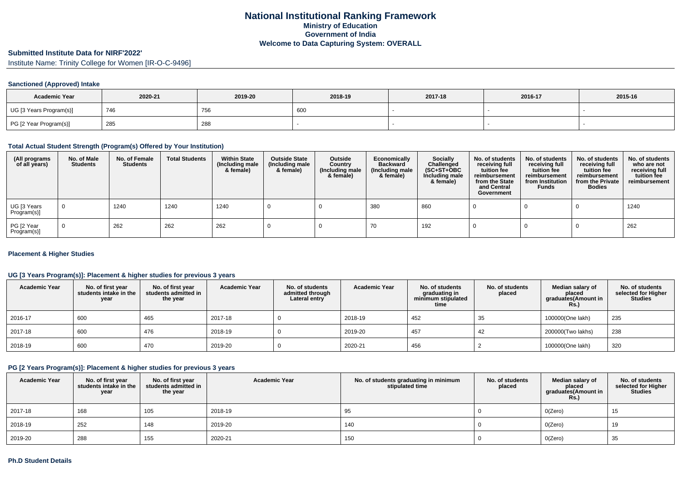### **Submitted Institute Data for NIRF'2022'**

Institute Name: Trinity College for Women [IR-O-C-9496]

## **Sanctioned (Approved) Intake**

| <b>Academic Year</b>    | 2020-21 | 2019-20 | 2018-19 | 2017-18 | 2016-17 | 2015-16 |
|-------------------------|---------|---------|---------|---------|---------|---------|
| UG [3 Years Program(s)] | 746     | 756     | 60      |         |         |         |
| PG [2 Year Program(s)]  | 285     | 288     |         |         |         |         |

### **Total Actual Student Strength (Program(s) Offered by Your Institution)**

| (All programs<br>of all years) | No. of Male<br><b>Students</b> | No. of Female<br><b>Students</b> | <b>Total Students</b> | <b>Within State</b><br>(Including male<br>& female) | <b>Outside State</b><br>(Including male<br>& female) | Outside<br>Country<br>(Including male<br>& female) | Economically<br><b>Backward</b><br>(Including male<br>& female) | <b>Socially</b><br>Challenged<br>$(SC+ST+OBC)$<br>Including male<br>& female) | No. of students<br>receiving full<br>tuition fee<br>reimbursement<br>from the State<br>and Central<br>Government | No. of students<br>receiving full<br>tuition fee<br>reimbursement<br>from Institution<br><b>Funds</b> | No. of students<br>receiving full<br>tuition fee<br>reimbursement<br>from the Private<br><b>Bodies</b> | No. of students<br>who are not<br>receiving full<br>tuition fee<br>reimbursement |
|--------------------------------|--------------------------------|----------------------------------|-----------------------|-----------------------------------------------------|------------------------------------------------------|----------------------------------------------------|-----------------------------------------------------------------|-------------------------------------------------------------------------------|------------------------------------------------------------------------------------------------------------------|-------------------------------------------------------------------------------------------------------|--------------------------------------------------------------------------------------------------------|----------------------------------------------------------------------------------|
| UG [3 Years<br>Program(s)]     | $\overline{0}$                 | 1240                             | 1240                  | 1240                                                |                                                      |                                                    | 380                                                             | 860                                                                           |                                                                                                                  |                                                                                                       |                                                                                                        | 1240                                                                             |
| PG [2 Year<br>Program(s)]      | $\Omega$                       | 262                              | 262                   | 262                                                 |                                                      |                                                    | 70                                                              | 192                                                                           |                                                                                                                  |                                                                                                       |                                                                                                        | 262                                                                              |

## **Placement & Higher Studies**

## **UG [3 Years Program(s)]: Placement & higher studies for previous 3 years**

| <b>Academic Year</b> | No. of first year<br>students intake in the<br>year | No. of first vear<br>students admitted in<br>the year | <b>Academic Year</b> | No. of students<br>admitted through<br>Lateral entry | <b>Academic Year</b> | No. of students<br>graduating in<br>minimum stipulated<br>time | No. of students<br>placed | Median salary of<br>placed<br>graduates(Amount in<br><b>Rs.)</b> | No. of students<br>selected for Higher<br><b>Studies</b> |
|----------------------|-----------------------------------------------------|-------------------------------------------------------|----------------------|------------------------------------------------------|----------------------|----------------------------------------------------------------|---------------------------|------------------------------------------------------------------|----------------------------------------------------------|
| 2016-17              | 600                                                 | 465                                                   | 2017-18              |                                                      | 2018-19              | 452                                                            | 35                        | 100000(One lakh)                                                 | 235                                                      |
| 2017-18              | 600                                                 | 476                                                   | 2018-19              |                                                      | 2019-20              | 457                                                            | 42                        | 200000(Two lakhs)                                                | 238                                                      |
| 2018-19              | 600                                                 | 470                                                   | 2019-20              |                                                      | 2020-21              | 456                                                            |                           | 100000(One lakh)                                                 | 320                                                      |

# **PG [2 Years Program(s)]: Placement & higher studies for previous 3 years**

| <b>Academic Year</b> | No. of first year<br>students intake in the<br>year | No. of first year<br>students admitted in<br>the year | <b>Academic Year</b> | No. of students graduating in minimum<br>stipulated time | No. of students<br>placed | Median salary of<br>placed<br>graduates(Amount in<br><b>Rs.)</b> | No. of students<br>selected for Higher<br><b>Studies</b> |
|----------------------|-----------------------------------------------------|-------------------------------------------------------|----------------------|----------------------------------------------------------|---------------------------|------------------------------------------------------------------|----------------------------------------------------------|
| 2017-18              | 168                                                 | 105                                                   | 2018-19              | 95                                                       |                           | O(Zero)                                                          | 15                                                       |
| 2018-19              | 252                                                 | 148                                                   | 2019-20              | 140                                                      |                           | O(Zero)                                                          | 19                                                       |
| 2019-20              | 288                                                 | 155                                                   | 2020-21              | 150                                                      |                           | O(Zero)                                                          | 35                                                       |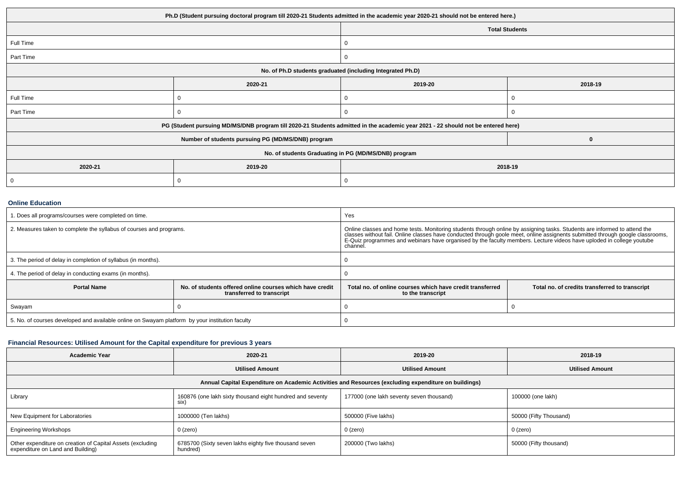| Ph.D (Student pursuing doctoral program till 2020-21 Students admitted in the academic year 2020-21 should not be entered here.) |                                                                                                                                  |         |                       |  |  |
|----------------------------------------------------------------------------------------------------------------------------------|----------------------------------------------------------------------------------------------------------------------------------|---------|-----------------------|--|--|
|                                                                                                                                  |                                                                                                                                  |         | <b>Total Students</b> |  |  |
| Full Time                                                                                                                        |                                                                                                                                  |         |                       |  |  |
| Part Time                                                                                                                        |                                                                                                                                  | υ       |                       |  |  |
| No. of Ph.D students graduated (including Integrated Ph.D)                                                                       |                                                                                                                                  |         |                       |  |  |
|                                                                                                                                  | 2020-21                                                                                                                          | 2019-20 | 2018-19               |  |  |
| Full Time                                                                                                                        |                                                                                                                                  |         |                       |  |  |
| Part Time                                                                                                                        |                                                                                                                                  |         |                       |  |  |
|                                                                                                                                  | PG (Student pursuing MD/MS/DNB program till 2020-21 Students admitted in the academic year 2021 - 22 should not be entered here) |         |                       |  |  |
|                                                                                                                                  | Number of students pursuing PG (MD/MS/DNB) program                                                                               |         |                       |  |  |
| No. of students Graduating in PG (MD/MS/DNB) program                                                                             |                                                                                                                                  |         |                       |  |  |
| 2020-21                                                                                                                          | 2019-20                                                                                                                          | 2018-19 |                       |  |  |
|                                                                                                                                  |                                                                                                                                  |         |                       |  |  |

### **Online Education**

| 1. Does all programs/courses were completed on time.                                            |                                                                                       | Yes                                                                                                                                                                                                                                                                                                                                                                  |                                                |  |
|-------------------------------------------------------------------------------------------------|---------------------------------------------------------------------------------------|----------------------------------------------------------------------------------------------------------------------------------------------------------------------------------------------------------------------------------------------------------------------------------------------------------------------------------------------------------------------|------------------------------------------------|--|
| 2. Measures taken to complete the syllabus of courses and programs.                             |                                                                                       | Online classes and home tests. Monitoring students through online by assigning tasks. Students are informed to attend the<br>classes without fail. Online classes have conducted through goole meet, online assignents submitted<br>E-Quiz programmes and webinars have organised by the faculty members. Lecture videos have uploded in college youtube<br>channel. |                                                |  |
| 3. The period of delay in completion of syllabus (in months).                                   |                                                                                       |                                                                                                                                                                                                                                                                                                                                                                      |                                                |  |
| 4. The period of delay in conducting exams (in months).                                         |                                                                                       |                                                                                                                                                                                                                                                                                                                                                                      |                                                |  |
| <b>Portal Name</b>                                                                              | No. of students offered online courses which have credit<br>transferred to transcript | Total no. of online courses which have credit transferred<br>to the transcript                                                                                                                                                                                                                                                                                       | Total no. of credits transferred to transcript |  |
| Swayam                                                                                          |                                                                                       |                                                                                                                                                                                                                                                                                                                                                                      |                                                |  |
| 5. No. of courses developed and available online on Swayam platform by your institution faculty |                                                                                       |                                                                                                                                                                                                                                                                                                                                                                      |                                                |  |

# **Financial Resources: Utilised Amount for the Capital expenditure for previous 3 years**

| <b>Academic Year</b>                                                                                 | 2020-21                                                           | 2019-20                                  | 2018-19                |  |  |  |  |
|------------------------------------------------------------------------------------------------------|-------------------------------------------------------------------|------------------------------------------|------------------------|--|--|--|--|
|                                                                                                      | <b>Utilised Amount</b>                                            | <b>Utilised Amount</b>                   | <b>Utilised Amount</b> |  |  |  |  |
| Annual Capital Expenditure on Academic Activities and Resources (excluding expenditure on buildings) |                                                                   |                                          |                        |  |  |  |  |
| Library                                                                                              | 160876 (one lakh sixty thousand eight hundred and seventy<br>six) | 177000 (one lakh seventy seven thousand) | 100000 (one lakh)      |  |  |  |  |
| New Equipment for Laboratories                                                                       | 1000000 (Ten lakhs)                                               | 500000 (Five lakhs)                      | 50000 (Fifty Thousand) |  |  |  |  |
| <b>Engineering Workshops</b>                                                                         | 0 (zero)                                                          | 0 (zero)                                 | 0 (zero)               |  |  |  |  |
| Other expenditure on creation of Capital Assets (excluding<br>expenditure on Land and Building)      | 6785700 (Sixty seven lakhs eighty five thousand seven<br>hundred) | 200000 (Two lakhs)                       | 50000 (Fifty thousand) |  |  |  |  |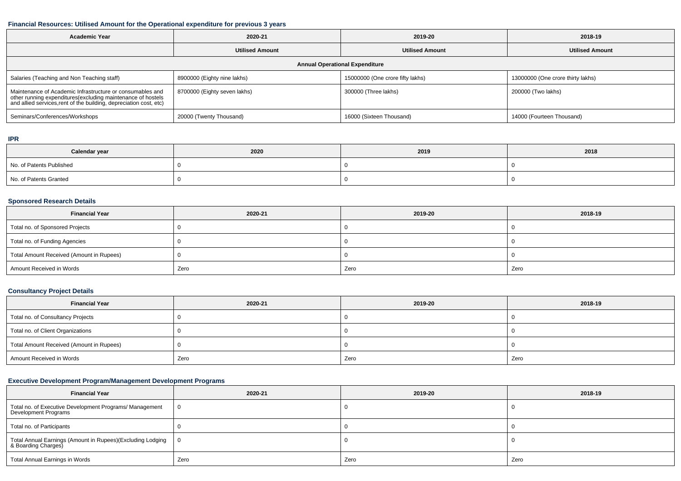#### **Financial Resources: Utilised Amount for the Operational expenditure for previous 3 years**

| <b>Academic Year</b>                                                                                                                                                                            | 2020-21                      | 2019-20                          | 2018-19                           |  |  |  |  |
|-------------------------------------------------------------------------------------------------------------------------------------------------------------------------------------------------|------------------------------|----------------------------------|-----------------------------------|--|--|--|--|
|                                                                                                                                                                                                 | <b>Utilised Amount</b>       | <b>Utilised Amount</b>           | <b>Utilised Amount</b>            |  |  |  |  |
| <b>Annual Operational Expenditure</b>                                                                                                                                                           |                              |                                  |                                   |  |  |  |  |
| Salaries (Teaching and Non Teaching staff)                                                                                                                                                      | 8900000 (Eighty nine lakhs)  | 15000000 (One crore fifty lakhs) | 13000000 (One crore thirty lakhs) |  |  |  |  |
| Maintenance of Academic Infrastructure or consumables and<br>other running expenditures (excluding maintenance of hostels<br>and allied services, rent of the building, depreciation cost, etc) | 8700000 (Eighty seven lakhs) | 300000 (Three lakhs)             | 200000 (Two lakhs)                |  |  |  |  |
| Seminars/Conferences/Workshops                                                                                                                                                                  | 20000 (Twenty Thousand)      | 16000 (Sixteen Thousand)         | 14000 (Fourteen Thousand)         |  |  |  |  |

# **IPR**

| Calendar year            | 2020 | 2019 | 2018 |
|--------------------------|------|------|------|
| No. of Patents Published |      |      |      |
| No. of Patents Granted   |      |      |      |

## **Sponsored Research Details**

| <b>Financial Year</b>                    | 2020-21 | 2019-20 | 2018-19 |
|------------------------------------------|---------|---------|---------|
| Total no. of Sponsored Projects          |         |         |         |
| Total no. of Funding Agencies            |         |         |         |
| Total Amount Received (Amount in Rupees) |         |         |         |
| Amount Received in Words                 | Zero    | Zero    | Zero    |

## **Consultancy Project Details**

| <b>Financial Year</b>                    | 2020-21 | 2019-20 | 2018-19 |
|------------------------------------------|---------|---------|---------|
| Total no. of Consultancy Projects        |         |         |         |
| Total no. of Client Organizations        |         |         |         |
| Total Amount Received (Amount in Rupees) |         |         |         |
| Amount Received in Words                 | Zero    | Zero    | Zero    |

# **Executive Development Program/Management Development Programs**

| <b>Financial Year</b>                                                             | 2020-21  | 2019-20 | 2018-19 |
|-----------------------------------------------------------------------------------|----------|---------|---------|
| Total no. of Executive Development Programs/ Management<br>Development Programs   | $\Omega$ |         |         |
| Total no. of Participants                                                         |          |         |         |
| Total Annual Earnings (Amount in Rupees)(Excluding Lodging<br>& Boarding Charges) | IΩ.      |         |         |
| Total Annual Earnings in Words                                                    | Zero     | Zero    | Zero    |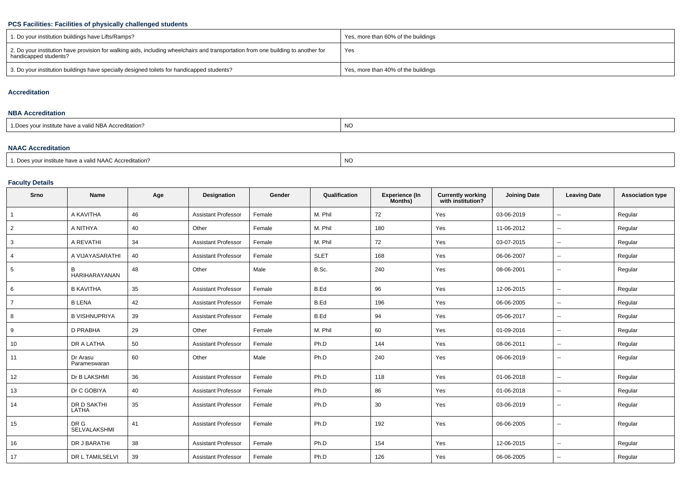# **PCS Facilities: Facilities of physically challenged students**

| 1. Do your institution buildings have Lifts/Ramps?                                                                                                         | Yes, more than 60% of the buildings |
|------------------------------------------------------------------------------------------------------------------------------------------------------------|-------------------------------------|
| 2. Do your institution have provision for walking aids, including wheelchairs and transportation from one building to another for<br>handicapped students? | Yes                                 |
| 3. Do your institution buildings have specially designed toilets for handicapped students?                                                                 | Yes, more than 40% of the buildings |

### **Accreditation**

### **NBA Accreditation**

| 1. Does vour institute have a valid NBA Accreditation? | NC. |
|--------------------------------------------------------|-----|
|                                                        |     |

## **NAAC Accreditation**

|                                                                   | $\overline{1}$ |
|-------------------------------------------------------------------|----------------|
| <sup>1</sup> Does your institute have a valid NAAC Accreditation? | NC             |
|                                                                   |                |

## **Faculty Details**

| Srno           | Name                     | Age | <b>Designation</b>         | Gender | Qualification | <b>Experience (In</b><br>Months) | <b>Currently working</b><br>with institution? | <b>Joining Date</b> | <b>Leaving Date</b>      | <b>Association type</b> |
|----------------|--------------------------|-----|----------------------------|--------|---------------|----------------------------------|-----------------------------------------------|---------------------|--------------------------|-------------------------|
| $\mathbf{1}$   | A KAVITHA                | 46  | <b>Assistant Professor</b> | Female | M. Phil       | 72                               | Yes                                           | 03-06-2019          | $\overline{\phantom{a}}$ | Regular                 |
| $\overline{2}$ | A NITHYA                 | 40  | Other                      | Female | M. Phil       | 180                              | Yes                                           | 11-06-2012          | $\overline{\phantom{a}}$ | Regular                 |
| 3              | A REVATHI                | 34  | <b>Assistant Professor</b> | Female | M. Phil       | 72                               | Yes                                           | 03-07-2015          | $\overline{\phantom{a}}$ | Regular                 |
| 4              | A VIJAYASARATHI          | 40  | <b>Assistant Professor</b> | Female | <b>SLET</b>   | 168                              | Yes                                           | 06-06-2007          | $\overline{\phantom{a}}$ | Regular                 |
| 5              | B<br>HARIHARAYANAN       | 48  | Other                      | Male   | B.Sc.         | 240                              | Yes                                           | 08-06-2001          | $\overline{\phantom{a}}$ | Regular                 |
| 6              | <b>B KAVITHA</b>         | 35  | <b>Assistant Professor</b> | Female | B.Ed          | 96                               | Yes                                           | 12-06-2015          | $\overline{\phantom{a}}$ | Regular                 |
| $\overline{7}$ | <b>B LENA</b>            | 42  | <b>Assistant Professor</b> | Female | B.Ed          | 196                              | Yes                                           | 06-06-2005          | $\sim$                   | Regular                 |
| 8              | <b>B VISHNUPRIYA</b>     | 39  | <b>Assistant Professor</b> | Female | B.Ed          | 94                               | Yes                                           | 05-06-2017          | $\overline{\phantom{a}}$ | Regular                 |
| 9              | D PRABHA                 | 29  | Other                      | Female | M. Phil       | 60                               | Yes                                           | 01-09-2016          | $\overline{\phantom{a}}$ | Regular                 |
| 10             | DR A LATHA               | 50  | <b>Assistant Professor</b> | Female | Ph.D          | 144                              | Yes                                           | 08-06-2011          | $\overline{\phantom{a}}$ | Regular                 |
| 11             | Dr Arasu<br>Parameswaran | 60  | Other                      | Male   | Ph.D          | 240                              | Yes                                           | 06-06-2019          | $\overline{\phantom{a}}$ | Regular                 |
| 12             | Dr B LAKSHMI             | 36  | <b>Assistant Professor</b> | Female | Ph.D          | 118                              | Yes                                           | 01-06-2018          | $\sim$                   | Regular                 |
| 13             | Dr C GOBIYA              | 40  | <b>Assistant Professor</b> | Female | Ph.D          | 86                               | Yes                                           | 01-06-2018          | $\sim$                   | Regular                 |
| 14             | DR D SAKTHI<br>LATHA     | 35  | <b>Assistant Professor</b> | Female | Ph.D          | 30                               | Yes                                           | 03-06-2019          | $\sim$                   | Regular                 |
| 15             | DR G<br>SELVALAKSHMI     | 41  | <b>Assistant Professor</b> | Female | Ph.D          | 192                              | Yes                                           | 06-06-2005          | $\overline{\phantom{a}}$ | Regular                 |
| 16             | DR J BARATHI             | 38  | <b>Assistant Professor</b> | Female | Ph.D          | 154                              | Yes                                           | 12-06-2015          | --                       | Regular                 |
| 17             | DR L TAMILSELVI          | 39  | <b>Assistant Professor</b> | Female | Ph.D          | 126                              | Yes                                           | 06-06-2005          | $\overline{\phantom{a}}$ | Regular                 |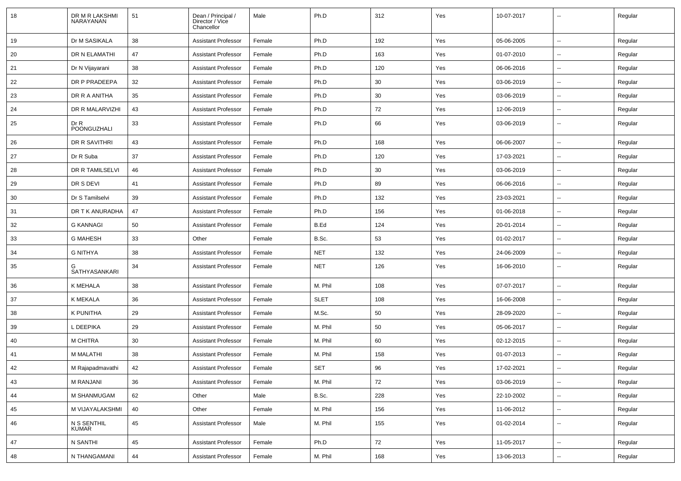| 18 | DR M R LAKSHMI<br>NARAYANAN | 51 | Dean / Principal /<br>Director / Vice<br>Chancellor | Male   | Ph.D        | 312 | Yes | 10-07-2017 |                          | Regular |
|----|-----------------------------|----|-----------------------------------------------------|--------|-------------|-----|-----|------------|--------------------------|---------|
| 19 | Dr M SASIKALA               | 38 | <b>Assistant Professor</b>                          | Female | Ph.D        | 192 | Yes | 05-06-2005 | $\overline{\phantom{a}}$ | Regular |
| 20 | DR N ELAMATHI               | 47 | <b>Assistant Professor</b>                          | Female | Ph.D        | 163 | Yes | 01-07-2010 | ⊷.                       | Regular |
| 21 | Dr N Vijayarani             | 38 | <b>Assistant Professor</b>                          | Female | Ph.D        | 120 | Yes | 06-06-2016 | --                       | Regular |
| 22 | DR P PRADEEPA               | 32 | <b>Assistant Professor</b>                          | Female | Ph.D        | 30  | Yes | 03-06-2019 | --                       | Regular |
| 23 | DR R A ANITHA               | 35 | <b>Assistant Professor</b>                          | Female | Ph.D        | 30  | Yes | 03-06-2019 | $\overline{\phantom{a}}$ | Regular |
| 24 | DR R MALARVIZHI             | 43 | <b>Assistant Professor</b>                          | Female | Ph.D        | 72  | Yes | 12-06-2019 | --                       | Regular |
| 25 | Dr R<br>POONGUZHALI         | 33 | <b>Assistant Professor</b>                          | Female | Ph.D        | 66  | Yes | 03-06-2019 | $\overline{\phantom{a}}$ | Regular |
| 26 | DR R SAVITHRI               | 43 | <b>Assistant Professor</b>                          | Female | Ph.D        | 168 | Yes | 06-06-2007 | $\overline{\phantom{a}}$ | Regular |
| 27 | Dr R Suba                   | 37 | <b>Assistant Professor</b>                          | Female | Ph.D        | 120 | Yes | 17-03-2021 | $\overline{\phantom{a}}$ | Regular |
| 28 | DR R TAMILSELVI             | 46 | <b>Assistant Professor</b>                          | Female | Ph.D        | 30  | Yes | 03-06-2019 | --                       | Regular |
| 29 | DR S DEVI                   | 41 | <b>Assistant Professor</b>                          | Female | Ph.D        | 89  | Yes | 06-06-2016 | --                       | Regular |
| 30 | Dr S Tamilselvi             | 39 | <b>Assistant Professor</b>                          | Female | Ph.D        | 132 | Yes | 23-03-2021 | --                       | Regular |
| 31 | DR T K ANURADHA             | 47 | <b>Assistant Professor</b>                          | Female | Ph.D        | 156 | Yes | 01-06-2018 | --                       | Regular |
| 32 | <b>G KANNAGI</b>            | 50 | <b>Assistant Professor</b>                          | Female | B.Ed        | 124 | Yes | 20-01-2014 | ⊷.                       | Regular |
| 33 | <b>G MAHESH</b>             | 33 | Other                                               | Female | B.Sc.       | 53  | Yes | 01-02-2017 | $\overline{\phantom{a}}$ | Regular |
| 34 | <b>G NITHYA</b>             | 38 | <b>Assistant Professor</b>                          | Female | <b>NET</b>  | 132 | Yes | 24-06-2009 | --                       | Regular |
| 35 | SATHYASANKARI               | 34 | <b>Assistant Professor</b>                          | Female | <b>NET</b>  | 126 | Yes | 16-06-2010 | ⊷.                       | Regular |
| 36 | K MEHALA                    | 38 | <b>Assistant Professor</b>                          | Female | M. Phil     | 108 | Yes | 07-07-2017 | --                       | Regular |
| 37 | K MEKALA                    | 36 | <b>Assistant Professor</b>                          | Female | <b>SLET</b> | 108 | Yes | 16-06-2008 | $\overline{\phantom{a}}$ | Regular |
| 38 | K PUNITHA                   | 29 | <b>Assistant Professor</b>                          | Female | M.Sc.       | 50  | Yes | 28-09-2020 | --                       | Regular |
| 39 | L DEEPIKA                   | 29 | <b>Assistant Professor</b>                          | Female | M. Phil     | 50  | Yes | 05-06-2017 | ⊷.                       | Regular |
| 40 | M CHITRA                    | 30 | <b>Assistant Professor</b>                          | Female | M. Phil     | 60  | Yes | 02-12-2015 | $\overline{a}$           | Regular |
| 41 | <b>M MALATHI</b>            | 38 | <b>Assistant Professor</b>                          | Female | M. Phil     | 158 | Yes | 01-07-2013 | --                       | Regular |
| 42 | M Rajapadmavathi            | 42 | <b>Assistant Professor</b>                          | Female | <b>SET</b>  | 96  | Yes | 17-02-2021 | $\overline{\phantom{a}}$ | Regular |
| 43 | M RANJANI                   | 36 | <b>Assistant Professor</b>                          | Female | M. Phil     | 72  | Yes | 03-06-2019 | ⊶.                       | Regular |
| 44 | M SHANMUGAM                 | 62 | Other                                               | Male   | B.Sc.       | 228 | Yes | 22-10-2002 | Щ,                       | Regular |
| 45 | M VIJAYALAKSHMI             | 40 | Other                                               | Female | M. Phil     | 156 | Yes | 11-06-2012 | н,                       | Regular |
| 46 | N S SENTHIL<br>KUMAR        | 45 | <b>Assistant Professor</b>                          | Male   | M. Phil     | 155 | Yes | 01-02-2014 | $\overline{\phantom{a}}$ | Regular |
| 47 | N SANTHI                    | 45 | <b>Assistant Professor</b>                          | Female | Ph.D        | 72  | Yes | 11-05-2017 | $\overline{\phantom{a}}$ | Regular |
| 48 | N THANGAMANI                | 44 | <b>Assistant Professor</b>                          | Female | M. Phil     | 168 | Yes | 13-06-2013 | $\overline{\phantom{a}}$ | Regular |